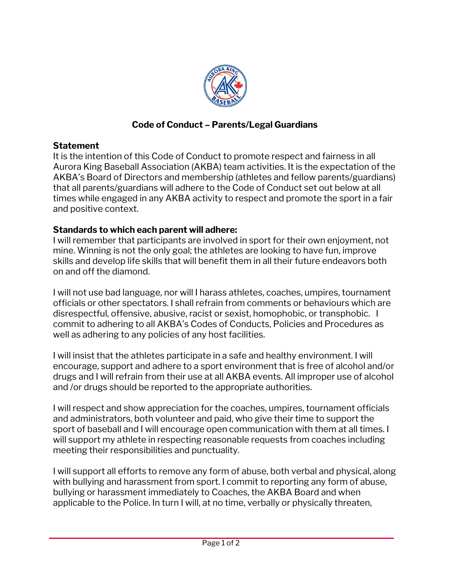

## **Code of Conduct – Parents/Legal Guardians**

## **Statement**

It is the intention of this Code of Conduct to promote respect and fairness in all Aurora King Baseball Association (AKBA) team activities. It is the expectation of the AKBA's Board of Directors and membership (athletes and fellow parents/guardians) that all parents/guardians will adhere to the Code of Conduct set out below at all times while engaged in any AKBA activity to respect and promote the sport in a fair and positive context.

## **Standards to which each parent will adhere:**

I will remember that participants are involved in sport for their own enjoyment, not mine. Winning is not the only goal; the athletes are looking to have fun, improve skills and develop life skills that will benefit them in all their future endeavors both on and off the diamond.

I will not use bad language, nor will I harass athletes, coaches, umpires, tournament officials or other spectators. I shall refrain from comments or behaviours which are disrespectful, offensive, abusive, racist or sexist, homophobic, or transphobic. I commit to adhering to all AKBA's Codes of Conducts, Policies and Procedures as well as adhering to any policies of any host facilities.

I will insist that the athletes participate in a safe and healthy environment. I will encourage, support and adhere to a sport environment that is free of alcohol and/or drugs and I will refrain from their use at all AKBA events. All improper use of alcohol and /or drugs should be reported to the appropriate authorities.

I will respect and show appreciation for the coaches, umpires, tournament officials and administrators, both volunteer and paid, who give their time to support the sport of baseball and I will encourage open communication with them at all times. I will support my athlete in respecting reasonable requests from coaches including meeting their responsibilities and punctuality.

I will support all efforts to remove any form of abuse, both verbal and physical, along with bullying and harassment from sport. I commit to reporting any form of abuse, bullying or harassment immediately to Coaches, the AKBA Board and when applicable to the Police. In turn I will, at no time, verbally or physically threaten,